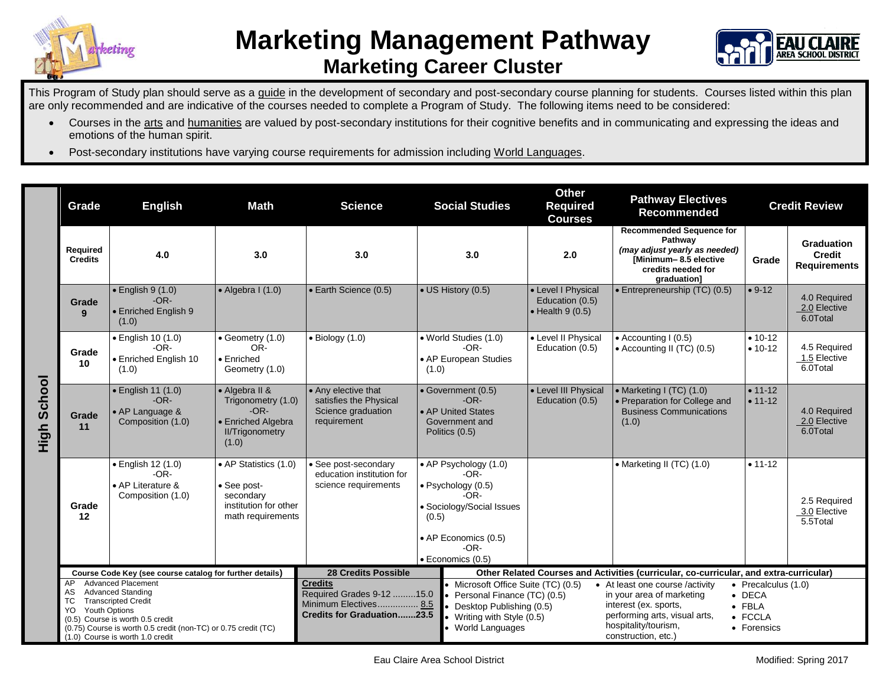



This Program of Study plan should serve as a guide in the development of secondary and post-secondary course planning for students. Courses listed within this plan are only recommended and are indicative of the courses needed to complete a Program of Study. The following items need to be considered:

- Courses in the arts and humanities are valued by post-secondary institutions for their cognitive benefits and in communicating and expressing the ideas and emotions of the human spirit.
- Post-secondary institutions have varying course requirements for admission including World Languages.

|                | Grade                                                                                                                                                                                                                                                                          | <b>English</b>                                                                                                                                                                                                                                                        | <b>Math</b>                                                                                             | <b>Science</b>                                                                                            | <b>Social Studies</b>                                                                                                                                              |                                                                                                                                                       | <b>Other</b><br><b>Required</b><br><b>Courses</b>                                                    | <b>Pathway Electives</b><br>Recommended                                                                                                                               | <b>Credit Review</b>                                                                      |                                                    |
|----------------|--------------------------------------------------------------------------------------------------------------------------------------------------------------------------------------------------------------------------------------------------------------------------------|-----------------------------------------------------------------------------------------------------------------------------------------------------------------------------------------------------------------------------------------------------------------------|---------------------------------------------------------------------------------------------------------|-----------------------------------------------------------------------------------------------------------|--------------------------------------------------------------------------------------------------------------------------------------------------------------------|-------------------------------------------------------------------------------------------------------------------------------------------------------|------------------------------------------------------------------------------------------------------|-----------------------------------------------------------------------------------------------------------------------------------------------------------------------|-------------------------------------------------------------------------------------------|----------------------------------------------------|
| School<br>High | Required<br><b>Credits</b>                                                                                                                                                                                                                                                     | 4.0                                                                                                                                                                                                                                                                   | 3.0                                                                                                     | 3.0                                                                                                       | 3.0                                                                                                                                                                |                                                                                                                                                       | 2.0                                                                                                  | <b>Recommended Sequence for</b><br>Pathway<br>(may adjust yearly as needed)<br>[Minimum-8.5 elective<br>credits needed for<br>graduation]                             | Grade                                                                                     | Graduation<br><b>Credit</b><br><b>Requirements</b> |
|                | Grade<br>$\mathbf{q}$                                                                                                                                                                                                                                                          | $\bullet$ English 9 (1.0)<br>$-OR-$<br>• Enriched English 9<br>(1.0)                                                                                                                                                                                                  | $\bullet$ Algebra I (1.0)                                                                               | • Earth Science (0.5)                                                                                     | • US History (0.5)                                                                                                                                                 | • Level I Physical<br>Education (0.5)<br>$\bullet$ Health 9 (0.5)                                                                                     |                                                                                                      | • Entrepreneurship (TC) (0.5)                                                                                                                                         | $• 9-12$                                                                                  | 4.0 Required<br>2.0 Elective<br>6.0Total           |
|                | Grade<br>10                                                                                                                                                                                                                                                                    | $\bullet$ English 10 (1.0)<br>$-OR-$<br>• Enriched English 10<br>(1.0)                                                                                                                                                                                                | $\bullet$ Geometry (1.0)<br>OR-<br>$\bullet$ Enriched<br>Geometry (1.0)                                 | $\bullet$ Biology (1.0)                                                                                   | · World Studies (1.0)<br>$-OR-$<br>• AP European Studies<br>(1.0)                                                                                                  |                                                                                                                                                       | • Level II Physical<br>Education (0.5)                                                               | $\bullet$ Accounting I (0.5)<br>• Accounting II (TC) (0.5)                                                                                                            | $• 10-12$<br>$• 10-12$                                                                    | 4.5 Required<br>1.5 Elective<br>6.0Total           |
|                | Grade<br>11                                                                                                                                                                                                                                                                    | • English 11 (1.0)<br>• Algebra II &<br>• Any elective that<br>$-OR-$<br>Trigonometry (1.0)<br>satisfies the Physical<br>$-OR-$<br>• AP Language &<br>Science graduation<br>• Enriched Algebra<br>requirement<br>Composition (1.0)<br><b>II/Trigonometry</b><br>(1.0) |                                                                                                         | • Government (0.5)<br>$-OR-$<br>• AP United States<br>Government and<br>Politics (0.5)                    |                                                                                                                                                                    | • Level III Physical<br>Education (0.5)                                                                                                               | • Marketing I (TC) (1.0)<br>• Preparation for College and<br><b>Business Communications</b><br>(1.0) | $• 11 - 12$<br>$• 11 - 12$                                                                                                                                            | 4.0 Required<br>2.0 Elective<br>6.0Total                                                  |                                                    |
|                | Grade<br>$12 \,$                                                                                                                                                                                                                                                               | · English 12 (1.0)<br>$-OR-$<br>• AP Literature &<br>Composition (1.0)                                                                                                                                                                                                | • AP Statistics (1.0)<br>$\bullet$ See post-<br>secondary<br>institution for other<br>math requirements | • See post-secondary<br>education institution for<br>science requirements                                 | • AP Psychology (1.0)<br>$-OR-$<br>• Psychology (0.5)<br>$-OR-$<br>• Sociology/Social Issues<br>(0.5)<br>• AP Economics (0.5)<br>-OR-<br>$\bullet$ Economics (0.5) |                                                                                                                                                       |                                                                                                      | • Marketing II (TC) (1.0)                                                                                                                                             | $• 11 - 12$                                                                               | 2.5 Required<br>3.0 Elective<br>5.5Total           |
|                | Course Code Key (see course catalog for further details)                                                                                                                                                                                                                       |                                                                                                                                                                                                                                                                       |                                                                                                         | <b>28 Credits Possible</b>                                                                                |                                                                                                                                                                    |                                                                                                                                                       | Other Related Courses and Activities (curricular, co-curricular, and extra-curricular)               |                                                                                                                                                                       |                                                                                           |                                                    |
|                | <b>Advanced Placement</b><br>AP<br><b>Advanced Standing</b><br>AS<br><b>Transcripted Credit</b><br>ТC<br><b>Youth Options</b><br>YO.<br>(0.5) Course is worth 0.5 credit<br>(0.75) Course is worth 0.5 credit (non-TC) or 0.75 credit (TC)<br>(1.0) Course is worth 1.0 credit |                                                                                                                                                                                                                                                                       |                                                                                                         | <b>Credits</b><br>Required Grades 9-12 15.0<br>Minimum Electives 8.5<br><b>Credits for Graduation23.5</b> |                                                                                                                                                                    | • Microsoft Office Suite (TC) (0.5)<br>• Personal Finance (TC) (0.5)<br>• Desktop Publishing (0.5)<br>• Writing with Style (0.5)<br>• World Languages |                                                                                                      | • At least one course /activity<br>in your area of marketing<br>interest (ex. sports,<br>performing arts, visual arts,<br>hospitality/tourism,<br>construction, etc.) | $\bullet$ Precalculus (1.0)<br>$\bullet$ DECA<br>$\bullet$ FBLA<br>• FCCLA<br>• Forensics |                                                    |